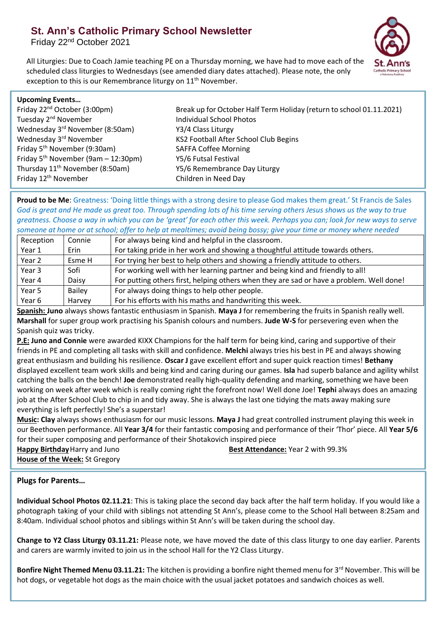# **St. Ann's Catholic Primary School Newsletter**

Friday 22nd October 2021



All Liturgies: Due to Coach Jamie teaching PE on a Thursday morning, we have had to move each of the scheduled class liturgies to Wednesdays (see amended diary dates attached). Please note, the only exception to this is our Remembrance liturgy on 11<sup>th</sup> November.

| <b>Upcoming Events</b>                      |                                                                      |
|---------------------------------------------|----------------------------------------------------------------------|
| Friday 22 <sup>nd</sup> October (3:00pm)    | Break up for October Half Term Holiday (return to school 01.11.2021) |
| Tuesday 2 <sup>nd</sup> November            | <b>Individual School Photos</b>                                      |
| Wednesday 3rd November (8:50am)             | Y3/4 Class Liturgy                                                   |
| Wednesday 3rd November                      | KS2 Football After School Club Begins                                |
| Friday 5 <sup>th</sup> November (9:30am)    | <b>SAFFA Coffee Morning</b>                                          |
| Friday $5^{th}$ November (9am – 12:30pm)    | Y5/6 Futsal Festival                                                 |
| Thursday 11 <sup>th</sup> November (8:50am) | Y5/6 Remembrance Day Liturgy                                         |
| Friday 12 <sup>th</sup> November            | Children in Need Day                                                 |
|                                             |                                                                      |

**Proud to be Me**: Greatness: 'Doing little things with a strong desire to please God makes them great.' St Francis de Sales *God is great and He made us great too. Through spending lots of his time serving others Jesus shows us the way to true greatness. Choose a way in which you can be 'great' for each other this week. Perhaps you can; look for new ways to serve someone at home or at school; offer to help at mealtimes; avoid being bossy; give your time or money where needed*

| Reception | Connie | For always being kind and helpful in the classroom.                                      |
|-----------|--------|------------------------------------------------------------------------------------------|
| Year 1    | Erin   | For taking pride in her work and showing a thoughtful attitude towards others.           |
| Year 2    | Esme H | For trying her best to help others and showing a friendly attitude to others.            |
| Year 3    | Sofi   | For working well with her learning partner and being kind and friendly to all!           |
| Year 4    | Daisy  | For putting others first, helping others when they are sad or have a problem. Well done! |
| Year 5    | Bailey | For always doing things to help other people.                                            |
| Year 6    | Harvey | For his efforts with his maths and handwriting this week.                                |

**Spanish: Juno** always shows fantastic enthusiasm in Spanish. **Maya J** for remembering the fruits in Spanish really well. **Marshall** for super group work practising his Spanish colours and numbers. **Jude W-S** for persevering even when the Spanish quiz was tricky.

**P.E: Juno and Connie** were awarded KIXX Champions for the half term for being kind, caring and supportive of their friends in PE and completing all tasks with skill and confidence. **Melchi** always tries his best in PE and always showing great enthusiasm and building his resilience. **Oscar J** gave excellent effort and super quick reaction times! **Bethany** displayed excellent team work skills and being kind and caring during our games. **Isla** had superb balance and agility whilst catching the balls on the bench! **Joe** demonstrated really high-quality defending and marking, something we have been working on week after week which is really coming right the forefront now! Well done Joe! **Tephi** always does an amazing job at the After School Club to chip in and tidy away. She is always the last one tidying the mats away making sure everything is left perfectly! She's a superstar!

**Music: Clay** always shows enthusiasm for our music lessons. **Maya J** had great controlled instrument playing this week in our Beethoven performance. All **Year 3/4** for their fantastic composing and performance of their 'Thor' piece. All **Year 5/6** for their super composing and performance of their Shotakovich inspired piece

**House of the Week:** St Gregory

**Happy Birthday** Harry and Juno **Best Attendance:** Year 2 with 99.3%

## **Plugs for Parents…**

**Individual School Photos 02.11.21**: This is taking place the second day back after the half term holiday. If you would like a photograph taking of your child with siblings not attending St Ann's, please come to the School Hall between 8:25am and 8:40am. Individual school photos and siblings within St Ann's will be taken during the school day.

**Change to Y2 Class Liturgy 03.11.21:** Please note, we have moved the date of this class liturgy to one day earlier. Parents and carers are warmly invited to join us in the school Hall for the Y2 Class Liturgy.

**Bonfire Night Themed Menu 03.11.21:** The kitchen is providing a bonfire night themed menu for 3<sup>rd</sup> November. This will be hot dogs, or vegetable hot dogs as the main choice with the usual jacket potatoes and sandwich choices as well.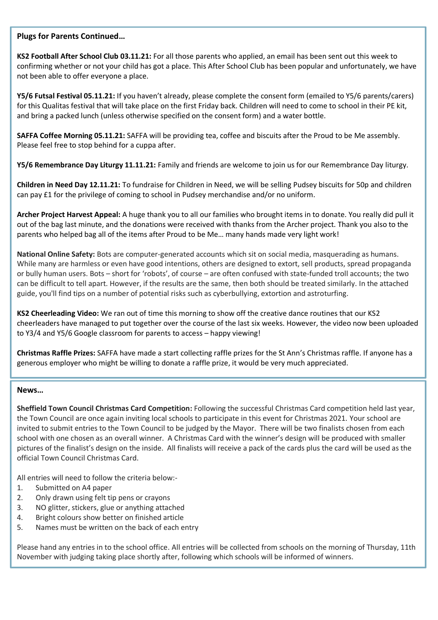### **Plugs for Parents Continued…**

**KS2 Football After School Club 03.11.21:** For all those parents who applied, an email has been sent out this week to confirming whether or not your child has got a place. This After School Club has been popular and unfortunately, we have not been able to offer everyone a place.

**Y5/6 Futsal Festival 05.11.21:** If you haven't already, please complete the consent form (emailed to Y5/6 parents/carers) for this Qualitas festival that will take place on the first Friday back. Children will need to come to school in their PE kit, and bring a packed lunch (unless otherwise specified on the consent form) and a water bottle.

**SAFFA Coffee Morning 05.11.21:** SAFFA will be providing tea, coffee and biscuits after the Proud to be Me assembly. Please feel free to stop behind for a cuppa after.

**Y5/6 Remembrance Day Liturgy 11.11.21:** Family and friends are welcome to join us for our Remembrance Day liturgy.

**Children in Need Day 12.11.21:** To fundraise for Children in Need, we will be selling Pudsey biscuits for 50p and children can pay £1 for the privilege of coming to school in Pudsey merchandise and/or no uniform.

**Archer Project Harvest Appeal:** A huge thank you to all our families who brought items in to donate. You really did pull it out of the bag last minute, and the donations were received with thanks from the Archer project. Thank you also to the parents who helped bag all of the items after Proud to be Me… many hands made very light work!

**National Online Safety:** Bots are computer-generated accounts which sit on social media, masquerading as humans. While many are harmless or even have good intentions, others are designed to extort, sell products, spread propaganda or bully human users. Bots – short for 'robots', of course – are often confused with state-funded troll accounts; the two can be difficult to tell apart. However, if the results are the same, then both should be treated similarly. In the attached guide, you'll find tips on a number of potential risks such as cyberbullying, extortion and astroturfing.

**KS2 Cheerleading Video:** We ran out of time this morning to show off the creative dance routines that our KS2 cheerleaders have managed to put together over the course of the last six weeks. However, the video now been uploaded to Y3/4 and Y5/6 Google classroom for parents to access – happy viewing!

**Christmas Raffle Prizes:** SAFFA have made a start collecting raffle prizes for the St Ann's Christmas raffle. If anyone has a generous employer who might be willing to donate a raffle prize, it would be very much appreciated.

#### **News…**

**Sheffield Town Council Christmas Card Competition:** Following the successful Christmas Card competition held last year, the Town Council are once again inviting local schools to participate in this event for Christmas 2021. Your school are invited to submit entries to the Town Council to be judged by the Mayor. There will be two finalists chosen from each school with one chosen as an overall winner. A Christmas Card with the winner's design will be produced with smaller pictures of the finalist's design on the inside. All finalists will receive a pack of the cards plus the card will be used as the official Town Council Christmas Card.

All entries will need to follow the criteria below:-

- 1. Submitted on A4 paper
- 2. Only drawn using felt tip pens or crayons
- 3. NO glitter, stickers, glue or anything attached
- 4. Bright colours show better on finished article
- 5. Names must be written on the back of each entry

Please hand any entries in to the school office. All entries will be collected from schools on the morning of Thursday, 11th November with judging taking place shortly after, following which schools will be informed of winners.